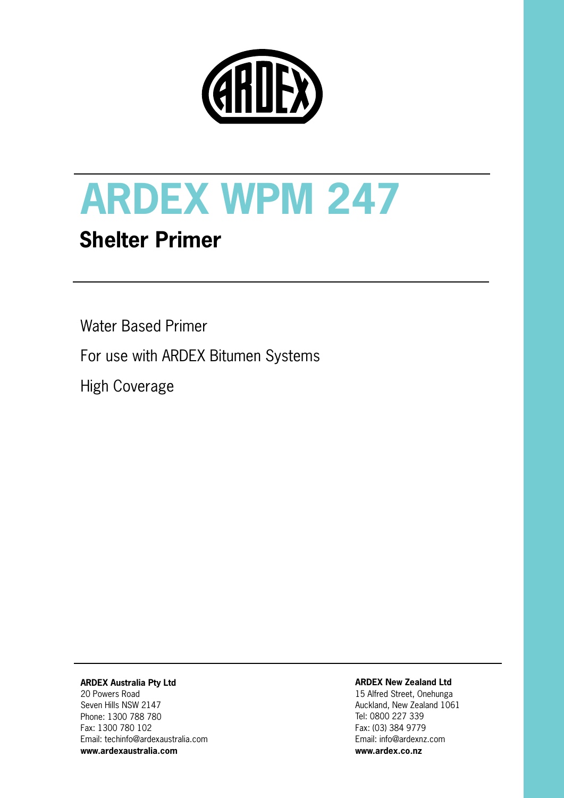

# **ARDEX WPM 247**

## **Shelter Primer**

Water Based Primer

For use with ARDEX Bitumen Systems

High Coverage

### **ARDEX Australia Pty Ltd**

20 Powers Road Seven Hills NSW 2147 Phone: 1300 788 780 Fax: 1300 780 102 Email: techinfo@ardexaustralia.com **www.ardexaustralia.com**

#### **ARDEX New Zealand Ltd**

15 Alfred Street, Onehunga Auckland, New Zealand 1061 Tel: 0800 227 339 Fax: (03) 384 9779 Email: info@ardexnz.com **www.ardex.co.nz**